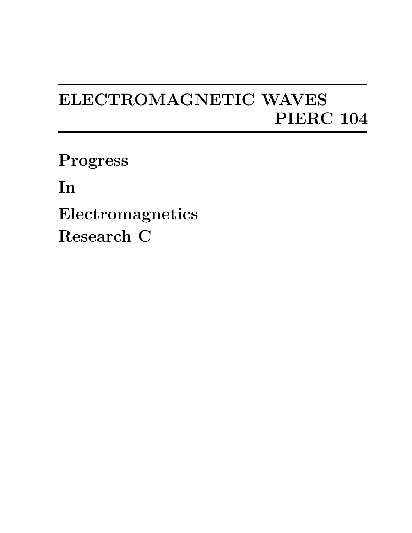## ELECTROMAGNETIC WAVES PIERC 104

Progress

In

Electromagnetics Research C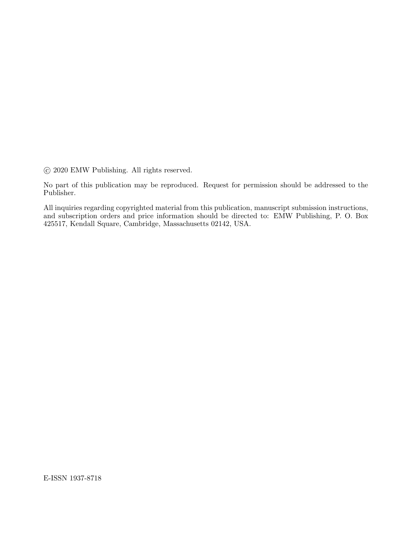°c 2020 EMW Publishing. All rights reserved.

No part of this publication may be reproduced. Request for permission should be addressed to the Publisher.

All inquiries regarding copyrighted material from this publication, manuscript submission instructions, and subscription orders and price information should be directed to: EMW Publishing, P. O. Box 425517, Kendall Square, Cambridge, Massachusetts 02142, USA.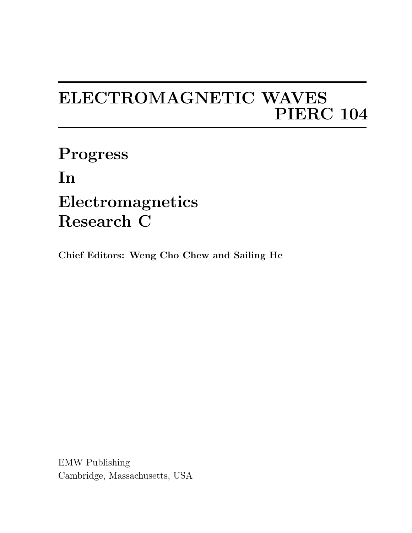## ELECTROMAGNETIC WAVES PIERC 104

Progress In Electromagnetics Research C

Chief Editors: Weng Cho Chew and Sailing He

EMW Publishing Cambridge, Massachusetts, USA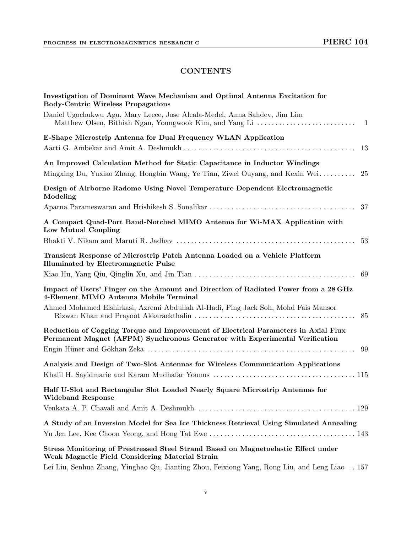## **CONTENTS**

| Investigation of Dominant Wave Mechanism and Optimal Antenna Excitation for<br><b>Body-Centric Wireless Propagations</b>                                           |
|--------------------------------------------------------------------------------------------------------------------------------------------------------------------|
| Daniel Ugochukwu Agu, Mary Leece, Jose Alcala-Medel, Anna Sahdev, Jim Lim                                                                                          |
| E-Shape Microstrip Antenna for Dual Frequency WLAN Application                                                                                                     |
| -13                                                                                                                                                                |
| An Improved Calculation Method for Static Capacitance in Inductor Windings<br>Mingxing Du, Yuxiao Zhang, Hongbin Wang, Ye Tian, Ziwei Ouyang, and Kexin Wei<br>25  |
| Design of Airborne Radome Using Novel Temperature Dependent Electromagnetic<br>Modeling                                                                            |
|                                                                                                                                                                    |
| A Compact Quad-Port Band-Notched MIMO Antenna for Wi-MAX Application with<br>Low Mutual Coupling                                                                   |
| 53                                                                                                                                                                 |
| Transient Response of Microstrip Patch Antenna Loaded on a Vehicle Platform<br><b>Illuminated by Electromagnetic Pulse</b>                                         |
| 69                                                                                                                                                                 |
| Impact of Users' Finger on the Amount and Direction of Radiated Power from a 28 GHz<br>4-Element MIMO Antenna Mobile Terminal                                      |
| Ahmed Mohamed Elshirkasi, Azremi Abdullah Al-Hadi, Ping Jack Soh, Mohd Fais Mansor<br>85                                                                           |
| Reduction of Cogging Torque and Improvement of Electrical Parameters in Axial Flux<br>Permanent Magnet (AFPM) Synchronous Generator with Experimental Verification |
| 99                                                                                                                                                                 |
| Analysis and Design of Two-Slot Antennas for Wireless Communication Applications                                                                                   |
| Half U-Slot and Rectangular Slot Loaded Nearly Square Microstrip Antennas for<br><b>Wideband Response</b>                                                          |
|                                                                                                                                                                    |
| A Study of an Inversion Model for Sea Ice Thickness Retrieval Using Simulated Annealing                                                                            |
| Stress Monitoring of Prestressed Steel Strand Based on Magnetoelastic Effect under<br>Weak Magnetic Field Considering Material Strain                              |
| Lei Liu, Senhua Zhang, Yinghao Qu, Jianting Zhou, Feixiong Yang, Rong Liu, and Leng Liao  157                                                                      |

v